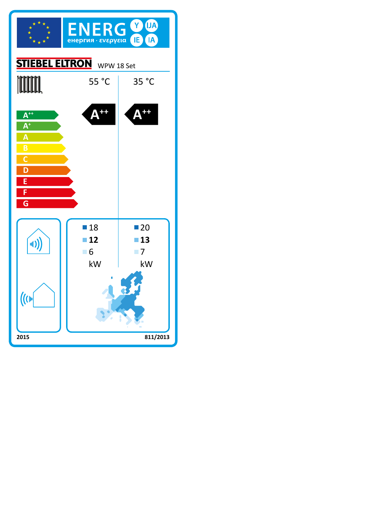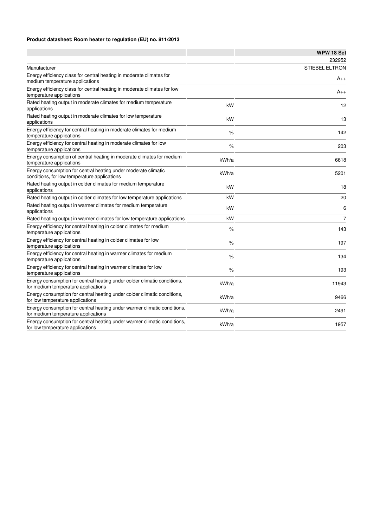#### **Product datasheet: Room heater to regulation (EU) no. 811/2013**

|                                                                                                                 |       | WPW 18 Set            |
|-----------------------------------------------------------------------------------------------------------------|-------|-----------------------|
|                                                                                                                 |       | 232952                |
| Manufacturer                                                                                                    |       | <b>STIEBEL ELTRON</b> |
| Energy efficiency class for central heating in moderate climates for<br>medium temperature applications         |       | A++                   |
| Energy efficiency class for central heating in moderate climates for low<br>temperature applications            |       | A++                   |
| Rated heating output in moderate climates for medium temperature<br>applications                                | kW    | 12                    |
| Rated heating output in moderate climates for low temperature<br>applications                                   | kW    | 13                    |
| Energy efficiency for central heating in moderate climates for medium<br>temperature applications               | %     | 142                   |
| Energy efficiency for central heating in moderate climates for low<br>temperature applications                  | $\%$  | 203                   |
| Energy consumption of central heating in moderate climates for medium<br>temperature applications               | kWh/a | 6618                  |
| Energy consumption for central heating under moderate climatic<br>conditions, for low temperature applications  | kWh/a | 5201                  |
| Rated heating output in colder climates for medium temperature<br>applications                                  | kW    | 18                    |
| Rated heating output in colder climates for low temperature applications                                        | kW    | 20                    |
| Rated heating output in warmer climates for medium temperature<br>applications                                  | kW    | 6                     |
| Rated heating output in warmer climates for low temperature applications                                        | kW    | 7                     |
| Energy efficiency for central heating in colder climates for medium<br>temperature applications                 | $\%$  | 143                   |
| Energy efficiency for central heating in colder climates for low<br>temperature applications                    | $\%$  | 197                   |
| Energy efficiency for central heating in warmer climates for medium<br>temperature applications                 | $\%$  | 134                   |
| Energy efficiency for central heating in warmer climates for low<br>temperature applications                    | $\%$  | 193                   |
| Energy consumption for central heating under colder climatic conditions,<br>for medium temperature applications | kWh/a | 11943                 |
| Energy consumption for central heating under colder climatic conditions,<br>for low temperature applications    | kWh/a | 9466                  |
| Energy consumption for central heating under warmer climatic conditions,<br>for medium temperature applications | kWh/a | 2491                  |
| Energy consumption for central heating under warmer climatic conditions,<br>for low temperature applications    | kWh/a | 1957                  |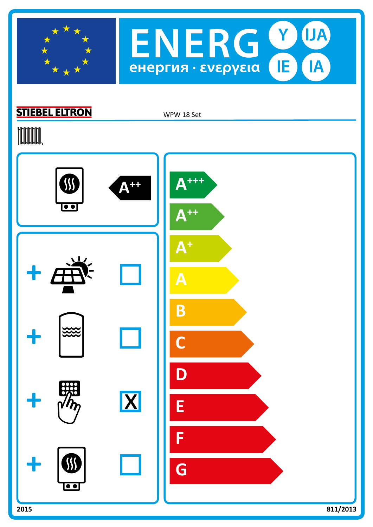



### **STIEBEL ELTRON**

WPW 18 Set

# **TOOTAL**

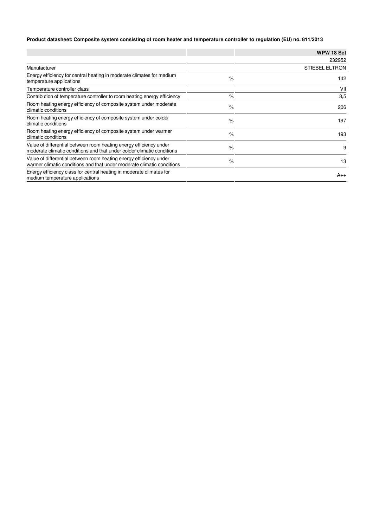#### **Product datasheet: Composite system consisting of room heater and temperature controller to regulation (EU) no. 811/2013**

|                                                                                                                                              |      | WPW 18 Set            |
|----------------------------------------------------------------------------------------------------------------------------------------------|------|-----------------------|
|                                                                                                                                              |      | 232952                |
| Manufacturer                                                                                                                                 |      | <b>STIEBEL ELTRON</b> |
| Energy efficiency for central heating in moderate climates for medium<br>temperature applications                                            | $\%$ | 142                   |
| Temperature controller class                                                                                                                 |      | VII                   |
| Contribution of temperature controller to room heating energy efficiency                                                                     | $\%$ | 3,5                   |
| Room heating energy efficiency of composite system under moderate<br>climatic conditions                                                     | %    | 206                   |
| Room heating energy efficiency of composite system under colder<br>climatic conditions                                                       | $\%$ | 197                   |
| Room heating energy efficiency of composite system under warmer<br>climatic conditions                                                       | $\%$ | 193                   |
| Value of differential between room heating energy efficiency under<br>moderate climatic conditions and that under colder climatic conditions | $\%$ | 9                     |
| Value of differential between room heating energy efficiency under<br>warmer climatic conditions and that under moderate climatic conditions | %    | 13                    |
| Energy efficiency class for central heating in moderate climates for<br>medium temperature applications                                      |      | $A++$                 |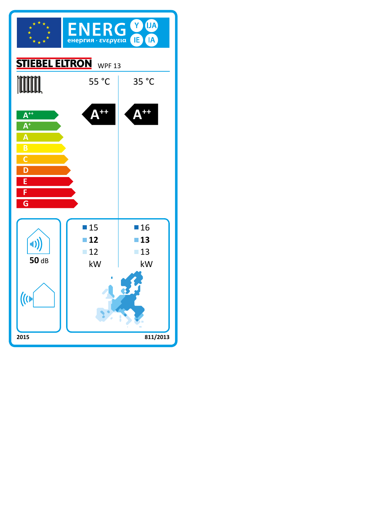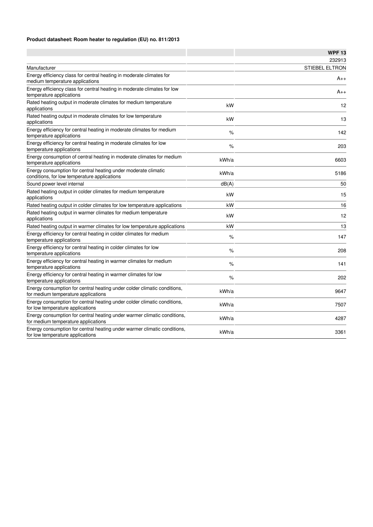#### **Product datasheet: Room heater to regulation (EU) no. 811/2013**

|                                                                                                                 |       | <b>WPF 13</b>         |
|-----------------------------------------------------------------------------------------------------------------|-------|-----------------------|
|                                                                                                                 |       | 232913                |
| Manufacturer                                                                                                    |       | <b>STIEBEL ELTRON</b> |
| Energy efficiency class for central heating in moderate climates for<br>medium temperature applications         |       | A++                   |
| Energy efficiency class for central heating in moderate climates for low<br>temperature applications            |       | A++                   |
| Rated heating output in moderate climates for medium temperature<br>applications                                | kW    | 12                    |
| Rated heating output in moderate climates for low temperature<br>applications                                   | kW    | 13                    |
| Energy efficiency for central heating in moderate climates for medium<br>temperature applications               | %     | 142                   |
| Energy efficiency for central heating in moderate climates for low<br>temperature applications                  | %     | 203                   |
| Energy consumption of central heating in moderate climates for medium<br>temperature applications               | kWh/a | 6603                  |
| Energy consumption for central heating under moderate climatic<br>conditions, for low temperature applications  | kWh/a | 5186                  |
| Sound power level internal                                                                                      | dB(A) | 50                    |
| Rated heating output in colder climates for medium temperature<br>applications                                  | kW    | 15                    |
| Rated heating output in colder climates for low temperature applications                                        | kW    | 16                    |
| Rated heating output in warmer climates for medium temperature<br>applications                                  | kW    | 12                    |
| Rated heating output in warmer climates for low temperature applications                                        | kW    | 13                    |
| Energy efficiency for central heating in colder climates for medium<br>temperature applications                 | $\%$  | 147                   |
| Energy efficiency for central heating in colder climates for low<br>temperature applications                    | %     | 208                   |
| Energy efficiency for central heating in warmer climates for medium<br>temperature applications                 | %     | 141                   |
| Energy efficiency for central heating in warmer climates for low<br>temperature applications                    | $\%$  | 202                   |
| Energy consumption for central heating under colder climatic conditions,<br>for medium temperature applications | kWh/a | 9647                  |
| Energy consumption for central heating under colder climatic conditions,<br>for low temperature applications    | kWh/a | 7507                  |
| Energy consumption for central heating under warmer climatic conditions,<br>for medium temperature applications | kWh/a | 4287                  |
| Energy consumption for central heating under warmer climatic conditions,<br>for low temperature applications    | kWh/a | 3361                  |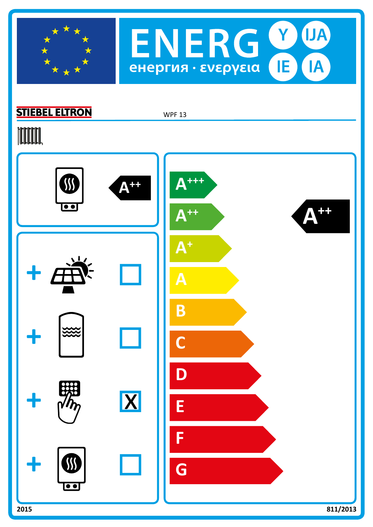



## **STIEBEL ELTRON**

WPF 13

# **TOOTAL**

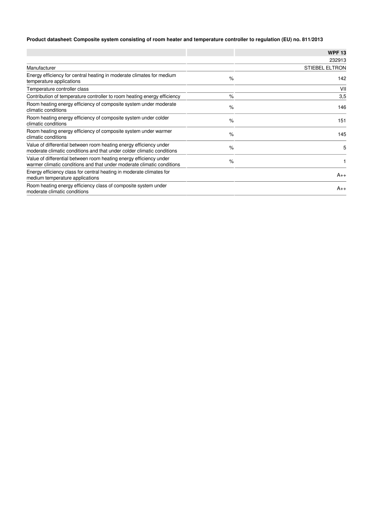#### **Product datasheet: Composite system consisting of room heater and temperature controller to regulation (EU) no. 811/2013**

|                                                                                                                                              |      | <b>WPF13</b>          |
|----------------------------------------------------------------------------------------------------------------------------------------------|------|-----------------------|
|                                                                                                                                              |      | 232913                |
| Manufacturer                                                                                                                                 |      | <b>STIEBEL ELTRON</b> |
| Energy efficiency for central heating in moderate climates for medium<br>temperature applications                                            | $\%$ | 142                   |
| Temperature controller class                                                                                                                 |      | VII                   |
| Contribution of temperature controller to room heating energy efficiency                                                                     | $\%$ | 3,5                   |
| Room heating energy efficiency of composite system under moderate<br>climatic conditions                                                     | $\%$ | 146                   |
| Room heating energy efficiency of composite system under colder<br>climatic conditions                                                       | $\%$ | 151                   |
| Room heating energy efficiency of composite system under warmer<br>climatic conditions                                                       | $\%$ | 145                   |
| Value of differential between room heating energy efficiency under<br>moderate climatic conditions and that under colder climatic conditions | $\%$ | 5                     |
| Value of differential between room heating energy efficiency under<br>warmer climatic conditions and that under moderate climatic conditions | $\%$ |                       |
| Energy efficiency class for central heating in moderate climates for<br>medium temperature applications                                      |      | $A_{++}$              |
| Room heating energy efficiency class of composite system under<br>moderate climatic conditions                                               |      | $A_{++}$              |